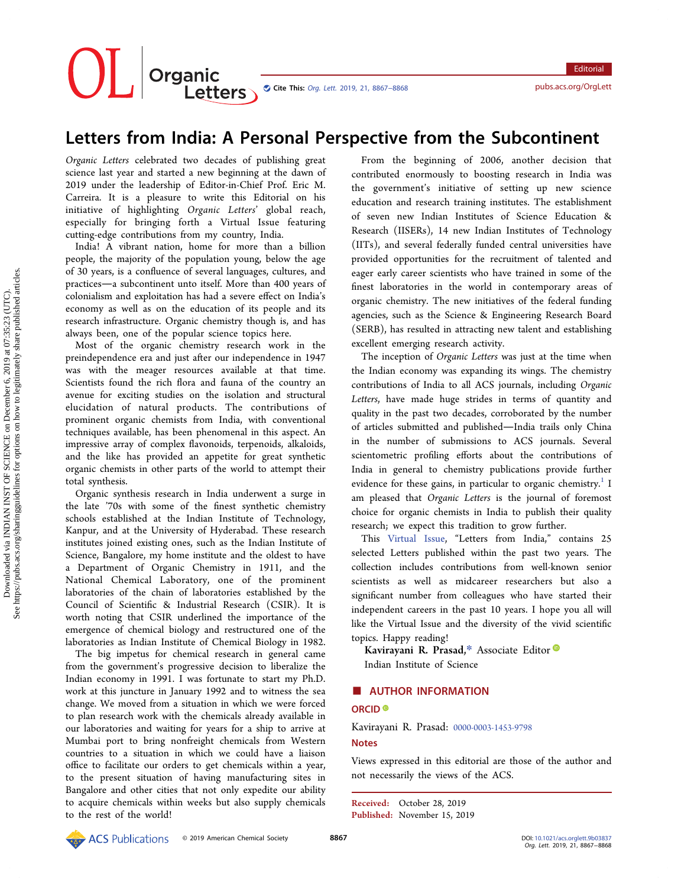OL Organic<br>Letters Cite This: Org. Lett. [2019, 21, 8867](http://pubs.acs.org/action/showCitFormats?doi=10.1021/acs.orglett.9b03837)-8868 <pubs.acs.org/OrgLett>

**Editorial** 

## Letters from India: A Personal Perspective from the Subcontinent

Organic Letters celebrated two decades of publishing great science last year and started a new beginning at the dawn of 2019 under the leadership of Editor-in-Chief Prof. Eric M. Carreira. It is a pleasure to write this Editorial on his initiative of highlighting Organic Letters' global reach, especially for bringing forth a Virtual Issue featuring cutting-edge contributions from my country, India.

India! A vibrant nation, home for more than a billion people, the majority of the population young, below the age of 30 years, is a confluence of several languages, cultures, and practices—a subcontinent unto itself. More than 400 years of colonialism and exploitation has had a severe effect on India's economy as well as on the education of its people and its research infrastructure. Organic chemistry though is, and has always been, one of the popular science topics here.

Most of the organic chemistry research work in the preindependence era and just after our independence in 1947 was with the meager resources available at that time. Scientists found the rich flora and fauna of the country an avenue for exciting studies on the isolation and structural elucidation of natural products. The contributions of prominent organic chemists from India, with conventional techniques available, has been phenomenal in this aspect. An impressive array of complex flavonoids, terpenoids, alkaloids, and the like has provided an appetite for great synthetic organic chemists in other parts of the world to attempt their total synthesis.

Organic synthesis research in India underwent a surge in the late '70s with some of the finest synthetic chemistry schools established at the Indian Institute of Technology, Kanpur, and at the University of Hyderabad. These research institutes joined existing ones, such as the Indian Institute of Science, Bangalore, my home institute and the oldest to have a Department of Organic Chemistry in 1911, and the National Chemical Laboratory, one of the prominent laboratories of the chain of laboratories established by the Council of Scientific & Industrial Research (CSIR). It is worth noting that CSIR underlined the importance of the emergence of chemical biology and restructured one of the laboratories as Indian Institute of Chemical Biology in 1982.

The big impetus for chemical research in general came from the government's progressive decision to liberalize the Indian economy in 1991. I was fortunate to start my Ph.D. work at this juncture in January 1992 and to witness the sea change. We moved from a situation in which we were forced to plan research work with the chemicals already available in our laboratories and waiting for years for a ship to arrive at Mumbai port to bring nonfreight chemicals from Western countries to a situation in which we could have a liaison office to facilitate our orders to get chemicals within a year, to the present situation of having manufacturing sites in Bangalore and other cities that not only expedite our ability to acquire chemicals within weeks but also supply chemicals to the rest of the world!

From the beginning of 2006, another decision that contributed enormously to boosting research in India was the government's initiative of setting up new science education and research training institutes. The establishment of seven new Indian Institutes of Science Education & Research (IISERs), 14 new Indian Institutes of Technology (IITs), and several federally funded central universities have provided opportunities for the recruitment of talented and eager early career scientists who have trained in some of the finest laboratories in the world in contemporary areas of organic chemistry. The new initiatives of the federal funding agencies, such as the Science & Engineering Research Board (SERB), has resulted in attracting new talent and establishing excellent emerging research activity.

The inception of Organic Letters was just at the time when the Indian economy was expanding its wings. The chemistry contributions of India to all ACS journals, including Organic Letters, have made huge strides in terms of quantity and quality in the past two decades, corroborated by the number of articles submitted and published-India trails only China in the number of submissions to ACS journals. Several scientometric profiling efforts about the contributions of India in general to chemistry publications provide further evidence for these gains, in particular to organic chemistry.<sup>[1](#page-1-0)</sup> I am pleased that Organic Letters is the journal of foremost choice for organic chemists in India to publish their quality research; we expect this tradition to grow further.

This [Virtual Issue,](https://pubs.acs.org/page/orlef7/vi/orglett-lettersfromindia.html) "Letters from India," contains 25 selected Letters published within the past two years. The collection includes contributions from well-known senior scientists as well as midcareer researchers but also a significant number from colleagues who have started their independent careers in the past 10 years. I hope you all will like the Virtual Issue and the diversity of the vivid scientific topics. Happy reading!

Kavirayani R. Prasad,\* Associate Editor Indian Institute of Science

# ■ AUTHOR INFORMATION

### ORCID<sup>®</sup>

Kavirayani R. Prasad: [0000-0003-1453-9798](http://orcid.org/0000-0003-1453-9798) **Notes** 

Views expressed in this editorial are those of the author and not necessarily the views of the ACS.

Received: October 28, 2019 Published: November 15, 2019